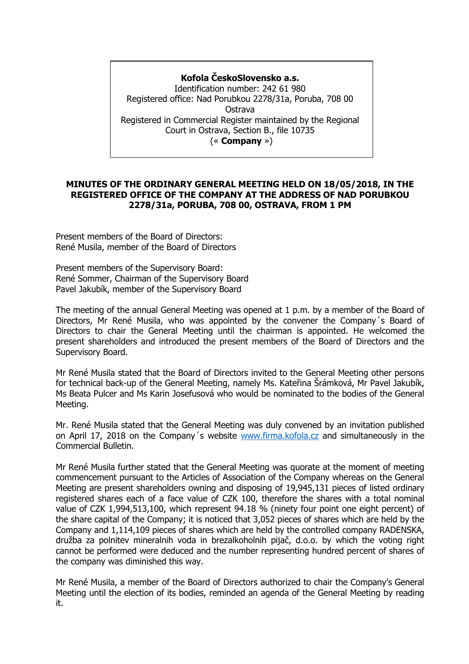# **Kofola ČeskoSlovensko a.s.**

Identification number: 242 61 980 Registered office: Nad Porubkou 2278/31a, Poruba, 708 00 Ostrava Registered in Commercial Register maintained by the Regional Court in Ostrava, Section B., file 10735 (« **Company** »)

## **MINUTES OF THE ORDINARY GENERAL MEETING HELD ON 18/05/2018, IN THE REGISTERED OFFICE OF THE COMPANY AT THE ADDRESS OF NAD PORUBKOU 2278/31a, PORUBA, 708 00, OSTRAVA, FROM 1 PM**

Present members of the Board of Directors: René Musila, member of the Board of Directors

Present members of the Supervisory Board: René Sommer, Chairman of the Supervisory Board Pavel Jakubík, member of the Supervisory Board

The meeting of the annual General Meeting was opened at 1 p.m. by a member of the Board of Directors, Mr René Musila, who was appointed by the convener the Company´s Board of Directors to chair the General Meeting until the chairman is appointed. He welcomed the present shareholders and introduced the present members of the Board of Directors and the Supervisory Board.

Mr René Musila stated that the Board of Directors invited to the General Meeting other persons for technical back-up of the General Meeting, namely Ms. Kateřina Šrámková, Mr Pavel Jakubík, Ms Beata Pulcer and Ms Karin Josefusová who would be nominated to the bodies of the General Meeting.

Mr. René Musila stated that the General Meeting was duly convened by an invitation published on April 17, 2018 on the Company´s website [www.firma.kofola.cz](http://www.firma.kofola.cz/) and simultaneously in the Commercial Bulletin.

Mr René Musila further stated that the General Meeting was quorate at the moment of meeting commencement pursuant to the Articles of Association of the Company whereas on the General Meeting are present shareholders owning and disposing of 19,945,131 pieces of listed ordinary registered shares each of a face value of CZK 100, therefore the shares with a total nominal value of CZK 1,994,513,100, which represent 94.18 % (ninety four point one eight percent) of the share capital of the Company; it is noticed that 3,052 pieces of shares which are held by the Company and 1,114,109 pieces of shares which are held by the controlled company RADENSKA, družba za polnitev mineralnih voda in brezalkoholnih pijač, d.o.o. by which the voting right cannot be performed were deduced and the number representing hundred percent of shares of the company was diminished this way.

Mr René Musila, a member of the Board of Directors authorized to chair the Company's General Meeting until the election of its bodies, reminded an agenda of the General Meeting by reading it.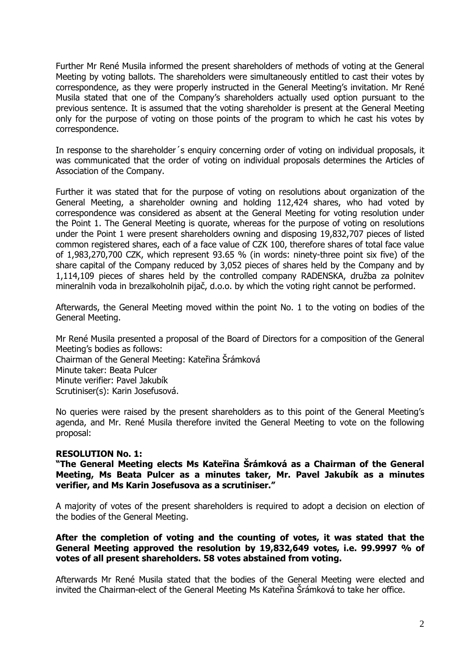Further Mr René Musila informed the present shareholders of methods of voting at the General Meeting by voting ballots. The shareholders were simultaneously entitled to cast their votes by correspondence, as they were properly instructed in the General Meeting's invitation. Mr René Musila stated that one of the Company's shareholders actually used option pursuant to the previous sentence. It is assumed that the voting shareholder is present at the General Meeting only for the purpose of voting on those points of the program to which he cast his votes by correspondence.

In response to the shareholder´s enquiry concerning order of voting on individual proposals, it was communicated that the order of voting on individual proposals determines the Articles of Association of the Company.

Further it was stated that for the purpose of voting on resolutions about organization of the General Meeting, a shareholder owning and holding 112,424 shares, who had voted by correspondence was considered as absent at the General Meeting for voting resolution under the Point 1. The General Meeting is quorate, whereas for the purpose of voting on resolutions under the Point 1 were present shareholders owning and disposing 19,832,707 pieces of listed common registered shares, each of a face value of CZK 100, therefore shares of total face value of 1,983,270,700 CZK, which represent 93.65 % (in words: ninety-three point six five) of the share capital of the Company reduced by 3,052 pieces of shares held by the Company and by 1,114,109 pieces of shares held by the controlled company RADENSKA, družba za polnitev mineralnih voda in brezalkoholnih pijač, d.o.o. by which the voting right cannot be performed.

Afterwards, the General Meeting moved within the point No. 1 to the voting on bodies of the General Meeting.

Mr René Musila presented a proposal of the Board of Directors for a composition of the General Meeting's bodies as follows: Chairman of the General Meeting: Kateřina Šrámková Minute taker: Beata Pulcer Minute verifier: Pavel Jakubík Scrutiniser(s): Karin Josefusová.

No queries were raised by the present shareholders as to this point of the General Meeting's agenda, and Mr. René Musila therefore invited the General Meeting to vote on the following proposal:

### **RESOLUTION No. 1:**

**"The General Meeting elects Ms Kateřina Šrámková as a Chairman of the General Meeting, Ms Beata Pulcer as a minutes taker, Mr. Pavel Jakubík as a minutes verifier, and Ms Karin Josefusova as a scrutiniser."**

A majority of votes of the present shareholders is required to adopt a decision on election of the bodies of the General Meeting.

## **After the completion of voting and the counting of votes, it was stated that the General Meeting approved the resolution by 19,832,649 votes, i.e. 99.9997 % of votes of all present shareholders. 58 votes abstained from voting.**

Afterwards Mr René Musila stated that the bodies of the General Meeting were elected and invited the Chairman-elect of the General Meeting Ms Kateřina Šrámková to take her office.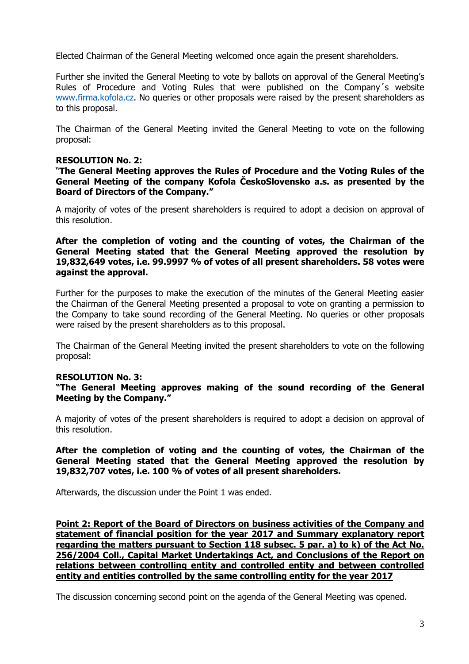Elected Chairman of the General Meeting welcomed once again the present shareholders.

Further she invited the General Meeting to vote by ballots on approval of the General Meeting's Rules of Procedure and Voting Rules that were published on the Company´s website [www.firma.kofola.cz.](http://www.firma.kofola.cz/) No queries or other proposals were raised by the present shareholders as to this proposal.

The Chairman of the General Meeting invited the General Meeting to vote on the following proposal:

## **RESOLUTION No. 2:**

"**The General Meeting approves the Rules of Procedure and the Voting Rules of the General Meeting of the company Kofola ČeskoSlovensko a.s. as presented by the Board of Directors of the Company."**

A majority of votes of the present shareholders is required to adopt a decision on approval of this resolution.

**After the completion of voting and the counting of votes, the Chairman of the General Meeting stated that the General Meeting approved the resolution by 19,832,649 votes, i.e. 99.9997 % of votes of all present shareholders. 58 votes were against the approval.**

Further for the purposes to make the execution of the minutes of the General Meeting easier the Chairman of the General Meeting presented a proposal to vote on granting a permission to the Company to take sound recording of the General Meeting. No queries or other proposals were raised by the present shareholders as to this proposal.

The Chairman of the General Meeting invited the present shareholders to vote on the following proposal:

### **RESOLUTION No. 3:**

**"The General Meeting approves making of the sound recording of the General Meeting by the Company."**

A majority of votes of the present shareholders is required to adopt a decision on approval of this resolution.

**After the completion of voting and the counting of votes, the Chairman of the General Meeting stated that the General Meeting approved the resolution by 19,832,707 votes, i.e. 100 % of votes of all present shareholders.** 

Afterwards, the discussion under the Point 1 was ended.

**Point 2: Report of the Board of Directors on business activities of the Company and statement of financial position for the year 2017 and Summary explanatory report regarding the matters pursuant to Section 118 subsec. 5 par. a) to k) of the Act No. 256/2004 Coll., Capital Market Undertakings Act, and Conclusions of the Report on relations between controlling entity and controlled entity and between controlled entity and entities controlled by the same controlling entity for the year 2017**

The discussion concerning second point on the agenda of the General Meeting was opened.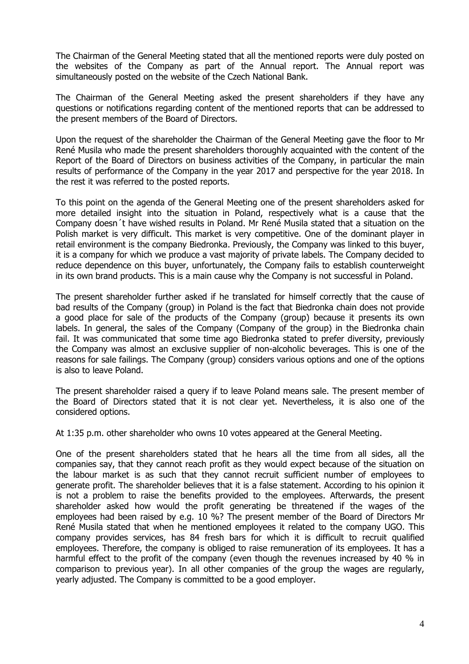The Chairman of the General Meeting stated that all the mentioned reports were duly posted on the websites of the Company as part of the Annual report. The Annual report was simultaneously posted on the website of the Czech National Bank.

The Chairman of the General Meeting asked the present shareholders if they have any questions or notifications regarding content of the mentioned reports that can be addressed to the present members of the Board of Directors.

Upon the request of the shareholder the Chairman of the General Meeting gave the floor to Mr René Musila who made the present shareholders thoroughly acquainted with the content of the Report of the Board of Directors on business activities of the Company, in particular the main results of performance of the Company in the year 2017 and perspective for the year 2018. In the rest it was referred to the posted reports.

To this point on the agenda of the General Meeting one of the present shareholders asked for more detailed insight into the situation in Poland, respectively what is a cause that the Company doesn´t have wished results in Poland. Mr René Musila stated that a situation on the Polish market is very difficult. This market is very competitive. One of the dominant player in retail environment is the company Biedronka. Previously, the Company was linked to this buyer, it is a company for which we produce a vast majority of private labels. The Company decided to reduce dependence on this buyer, unfortunately, the Company fails to establish counterweight in its own brand products. This is a main cause why the Company is not successful in Poland.

The present shareholder further asked if he translated for himself correctly that the cause of bad results of the Company (group) in Poland is the fact that Biedronka chain does not provide a good place for sale of the products of the Company (group) because it presents its own labels. In general, the sales of the Company (Company of the group) in the Biedronka chain fail. It was communicated that some time ago Biedronka stated to prefer diversity, previously the Company was almost an exclusive supplier of non-alcoholic beverages. This is one of the reasons for sale failings. The Company (group) considers various options and one of the options is also to leave Poland.

The present shareholder raised a query if to leave Poland means sale. The present member of the Board of Directors stated that it is not clear yet. Nevertheless, it is also one of the considered options.

At 1:35 p.m. other shareholder who owns 10 votes appeared at the General Meeting.

One of the present shareholders stated that he hears all the time from all sides, all the companies say, that they cannot reach profit as they would expect because of the situation on the labour market is as such that they cannot recruit sufficient number of employees to generate profit. The shareholder believes that it is a false statement. According to his opinion it is not a problem to raise the benefits provided to the employees. Afterwards, the present shareholder asked how would the profit generating be threatened if the wages of the employees had been raised by e.g. 10 %? The present member of the Board of Directors Mr René Musila stated that when he mentioned employees it related to the company UGO. This company provides services, has 84 fresh bars for which it is difficult to recruit qualified employees. Therefore, the company is obliged to raise remuneration of its employees. It has a harmful effect to the profit of the company (even though the revenues increased by 40 % in comparison to previous year). In all other companies of the group the wages are regularly, yearly adjusted. The Company is committed to be a good employer.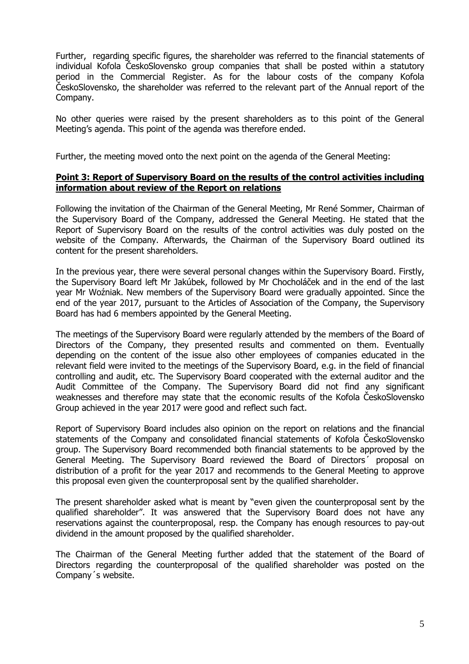Further, regarding specific figures, the shareholder was referred to the financial statements of individual Kofola ČeskoSlovensko group companies that shall be posted within a statutory period in the Commercial Register. As for the labour costs of the company Kofola ČeskoSlovensko, the shareholder was referred to the relevant part of the Annual report of the Company.

No other queries were raised by the present shareholders as to this point of the General Meeting's agenda. This point of the agenda was therefore ended.

Further, the meeting moved onto the next point on the agenda of the General Meeting:

## **Point 3: Report of Supervisory Board on the results of the control activities including information about review of the Report on relations**

Following the invitation of the Chairman of the General Meeting, Mr René Sommer, Chairman of the Supervisory Board of the Company, addressed the General Meeting. He stated that the Report of Supervisory Board on the results of the control activities was duly posted on the website of the Company. Afterwards, the Chairman of the Supervisory Board outlined its content for the present shareholders.

In the previous year, there were several personal changes within the Supervisory Board. Firstly, the Supervisory Board left Mr Jakúbek, followed by Mr Chocholáček and in the end of the last year Mr Woźniak. New members of the Supervisory Board were gradually appointed. Since the end of the year 2017, pursuant to the Articles of Association of the Company, the Supervisory Board has had 6 members appointed by the General Meeting.

The meetings of the Supervisory Board were regularly attended by the members of the Board of Directors of the Company, they presented results and commented on them. Eventually depending on the content of the issue also other employees of companies educated in the relevant field were invited to the meetings of the Supervisory Board, e.g. in the field of financial controlling and audit, etc. The Supervisory Board cooperated with the external auditor and the Audit Committee of the Company. The Supervisory Board did not find any significant weaknesses and therefore may state that the economic results of the Kofola ČeskoSlovensko Group achieved in the year 2017 were good and reflect such fact.

Report of Supervisory Board includes also opinion on the report on relations and the financial statements of the Company and consolidated financial statements of Kofola ČeskoSlovensko group. The Supervisory Board recommended both financial statements to be approved by the General Meeting. The Supervisory Board reviewed the Board of Directors´ proposal on distribution of a profit for the year 2017 and recommends to the General Meeting to approve this proposal even given the counterproposal sent by the qualified shareholder.

The present shareholder asked what is meant by "even given the counterproposal sent by the qualified shareholder". It was answered that the Supervisory Board does not have any reservations against the counterproposal, resp. the Company has enough resources to pay-out dividend in the amount proposed by the qualified shareholder.

The Chairman of the General Meeting further added that the statement of the Board of Directors regarding the counterproposal of the qualified shareholder was posted on the Company´s website.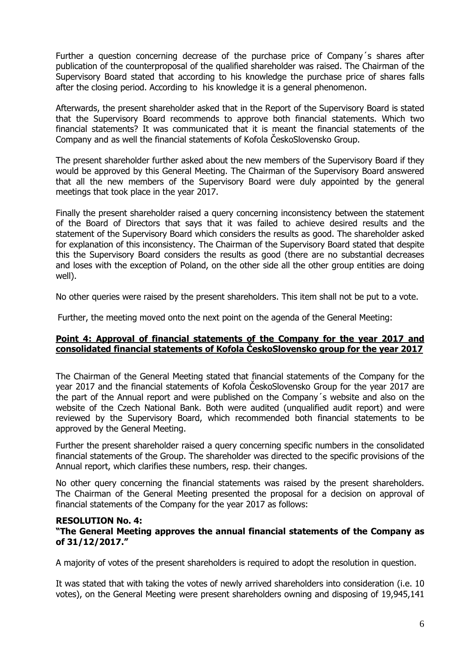Further a question concerning decrease of the purchase price of Company´s shares after publication of the counterproposal of the qualified shareholder was raised. The Chairman of the Supervisory Board stated that according to his knowledge the purchase price of shares falls after the closing period. According to his knowledge it is a general phenomenon.

Afterwards, the present shareholder asked that in the Report of the Supervisory Board is stated that the Supervisory Board recommends to approve both financial statements. Which two financial statements? It was communicated that it is meant the financial statements of the Company and as well the financial statements of Kofola ČeskoSlovensko Group.

The present shareholder further asked about the new members of the Supervisory Board if they would be approved by this General Meeting. The Chairman of the Supervisory Board answered that all the new members of the Supervisory Board were duly appointed by the general meetings that took place in the year 2017.

Finally the present shareholder raised a query concerning inconsistency between the statement of the Board of Directors that says that it was failed to achieve desired results and the statement of the Supervisory Board which considers the results as good. The shareholder asked for explanation of this inconsistency. The Chairman of the Supervisory Board stated that despite this the Supervisory Board considers the results as good (there are no substantial decreases and loses with the exception of Poland, on the other side all the other group entities are doing well).

No other queries were raised by the present shareholders. This item shall not be put to a vote.

Further, the meeting moved onto the next point on the agenda of the General Meeting:

## **Point 4: Approval of financial statements of the Company for the year 2017 and consolidated financial statements of Kofola ČeskoSlovensko group for the year 2017**

The Chairman of the General Meeting stated that financial statements of the Company for the year 2017 and the financial statements of Kofola ČeskoSlovensko Group for the year 2017 are the part of the Annual report and were published on the Company´s website and also on the website of the Czech National Bank. Both were audited (unqualified audit report) and were reviewed by the Supervisory Board, which recommended both financial statements to be approved by the General Meeting.

Further the present shareholder raised a query concerning specific numbers in the consolidated financial statements of the Group. The shareholder was directed to the specific provisions of the Annual report, which clarifies these numbers, resp. their changes.

No other query concerning the financial statements was raised by the present shareholders. The Chairman of the General Meeting presented the proposal for a decision on approval of financial statements of the Company for the year 2017 as follows:

#### **RESOLUTION No. 4: "The General Meeting approves the annual financial statements of the Company as of 31/12/2017."**

A majority of votes of the present shareholders is required to adopt the resolution in question.

It was stated that with taking the votes of newly arrived shareholders into consideration (i.e. 10 votes), on the General Meeting were present shareholders owning and disposing of 19,945,141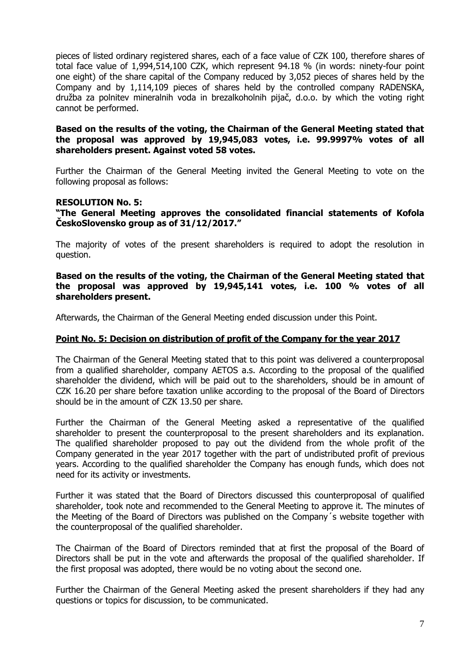pieces of listed ordinary registered shares, each of a face value of CZK 100, therefore shares of total face value of 1,994,514,100 CZK, which represent 94.18 % (in words: ninety-four point one eight) of the share capital of the Company reduced by 3,052 pieces of shares held by the Company and by 1,114,109 pieces of shares held by the controlled company RADENSKA, družba za polnitev mineralnih voda in brezalkoholnih pijač, d.o.o. by which the voting right cannot be performed.

### **Based on the results of the voting, the Chairman of the General Meeting stated that the proposal was approved by 19,945,083 votes, i.e. 99.9997% votes of all shareholders present. Against voted 58 votes.**

Further the Chairman of the General Meeting invited the General Meeting to vote on the following proposal as follows:

### **RESOLUTION No. 5:**

**"The General Meeting approves the consolidated financial statements of Kofola ČeskoSlovensko group as of 31/12/2017."** 

The majority of votes of the present shareholders is required to adopt the resolution in question.

#### **Based on the results of the voting, the Chairman of the General Meeting stated that the proposal was approved by 19,945,141 votes, i.e. 100 % votes of all shareholders present.**

Afterwards, the Chairman of the General Meeting ended discussion under this Point.

### **Point No. 5: Decision on distribution of profit of the Company for the year 2017**

The Chairman of the General Meeting stated that to this point was delivered a counterproposal from a qualified shareholder, company AETOS a.s. According to the proposal of the qualified shareholder the dividend, which will be paid out to the shareholders, should be in amount of CZK 16.20 per share before taxation unlike according to the proposal of the Board of Directors should be in the amount of CZK 13.50 per share.

Further the Chairman of the General Meeting asked a representative of the qualified shareholder to present the counterproposal to the present shareholders and its explanation. The qualified shareholder proposed to pay out the dividend from the whole profit of the Company generated in the year 2017 together with the part of undistributed profit of previous years. According to the qualified shareholder the Company has enough funds, which does not need for its activity or investments.

Further it was stated that the Board of Directors discussed this counterproposal of qualified shareholder, took note and recommended to the General Meeting to approve it. The minutes of the Meeting of the Board of Directors was published on the Company´s website together with the counterproposal of the qualified shareholder.

The Chairman of the Board of Directors reminded that at first the proposal of the Board of Directors shall be put in the vote and afterwards the proposal of the qualified shareholder. If the first proposal was adopted, there would be no voting about the second one.

Further the Chairman of the General Meeting asked the present shareholders if they had any questions or topics for discussion, to be communicated.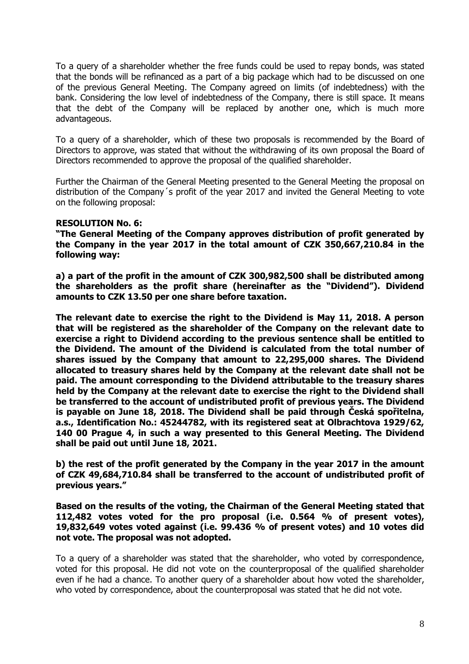To a query of a shareholder whether the free funds could be used to repay bonds, was stated that the bonds will be refinanced as a part of a big package which had to be discussed on one of the previous General Meeting. The Company agreed on limits (of indebtedness) with the bank. Considering the low level of indebtedness of the Company, there is still space. It means that the debt of the Company will be replaced by another one, which is much more advantageous.

To a query of a shareholder, which of these two proposals is recommended by the Board of Directors to approve, was stated that without the withdrawing of its own proposal the Board of Directors recommended to approve the proposal of the qualified shareholder.

Further the Chairman of the General Meeting presented to the General Meeting the proposal on distribution of the Company´s profit of the year 2017 and invited the General Meeting to vote on the following proposal:

### **RESOLUTION No. 6:**

**"The General Meeting of the Company approves distribution of profit generated by the Company in the year 2017 in the total amount of CZK 350,667,210.84 in the following way:**

**a) a part of the profit in the amount of CZK 300,982,500 shall be distributed among the shareholders as the profit share (hereinafter as the "Dividend"). Dividend amounts to CZK 13.50 per one share before taxation.**

**The relevant date to exercise the right to the Dividend is May 11, 2018. A person that will be registered as the shareholder of the Company on the relevant date to exercise a right to Dividend according to the previous sentence shall be entitled to the Dividend. The amount of the Dividend is calculated from the total number of shares issued by the Company that amount to 22,295,000 shares. The Dividend allocated to treasury shares held by the Company at the relevant date shall not be paid. The amount corresponding to the Dividend attributable to the treasury shares held by the Company at the relevant date to exercise the right to the Dividend shall be transferred to the account of undistributed profit of previous years. The Dividend is payable on June 18, 2018. The Dividend shall be paid through Česká spořitelna, a.s., Identification No.: 45244782, with its registered seat at Olbrachtova 1929/62, 140 00 Prague 4, in such a way presented to this General Meeting. The Dividend shall be paid out until June 18, 2021.**

**b) the rest of the profit generated by the Company in the year 2017 in the amount of CZK 49,684,710.84 shall be transferred to the account of undistributed profit of previous years."**

**Based on the results of the voting, the Chairman of the General Meeting stated that 112,482 votes voted for the pro proposal (i.e. 0.564 % of present votes), 19,832,649 votes voted against (i.e. 99.436 % of present votes) and 10 votes did not vote. The proposal was not adopted.** 

To a query of a shareholder was stated that the shareholder, who voted by correspondence, voted for this proposal. He did not vote on the counterproposal of the qualified shareholder even if he had a chance. To another query of a shareholder about how voted the shareholder, who voted by correspondence, about the counterproposal was stated that he did not vote.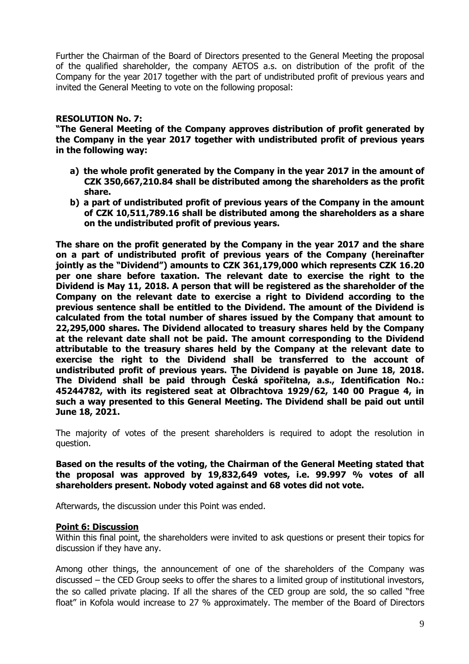Further the Chairman of the Board of Directors presented to the General Meeting the proposal of the qualified shareholder, the company AETOS a.s. on distribution of the profit of the Company for the year 2017 together with the part of undistributed profit of previous years and invited the General Meeting to vote on the following proposal:

## **RESOLUTION No. 7:**

**"The General Meeting of the Company approves distribution of profit generated by the Company in the year 2017 together with undistributed profit of previous years in the following way:**

- **a) the whole profit generated by the Company in the year 2017 in the amount of CZK 350,667,210.84 shall be distributed among the shareholders as the profit share.**
- **b) a part of undistributed profit of previous years of the Company in the amount of CZK 10,511,789.16 shall be distributed among the shareholders as a share on the undistributed profit of previous years.**

**The share on the profit generated by the Company in the year 2017 and the share on a part of undistributed profit of previous years of the Company (hereinafter jointly as the "Dividend") amounts to CZK 361,179,000 which represents CZK 16.20 per one share before taxation. The relevant date to exercise the right to the Dividend is May 11, 2018. A person that will be registered as the shareholder of the Company on the relevant date to exercise a right to Dividend according to the previous sentence shall be entitled to the Dividend. The amount of the Dividend is calculated from the total number of shares issued by the Company that amount to 22,295,000 shares. The Dividend allocated to treasury shares held by the Company at the relevant date shall not be paid. The amount corresponding to the Dividend attributable to the treasury shares held by the Company at the relevant date to exercise the right to the Dividend shall be transferred to the account of undistributed profit of previous years. The Dividend is payable on June 18, 2018. The Dividend shall be paid through Česká spořitelna, a.s., Identification No.: 45244782, with its registered seat at Olbrachtova 1929/62, 140 00 Prague 4, in such a way presented to this General Meeting. The Dividend shall be paid out until June 18, 2021.**

The majority of votes of the present shareholders is required to adopt the resolution in question.

**Based on the results of the voting, the Chairman of the General Meeting stated that the proposal was approved by 19,832,649 votes, i.e. 99.997 % votes of all shareholders present. Nobody voted against and 68 votes did not vote.** 

Afterwards, the discussion under this Point was ended.

### **Point 6: Discussion**

Within this final point, the shareholders were invited to ask questions or present their topics for discussion if they have any.

Among other things, the announcement of one of the shareholders of the Company was discussed – the CED Group seeks to offer the shares to a limited group of institutional investors, the so called private placing. If all the shares of the CED group are sold, the so called "free float" in Kofola would increase to 27 % approximately. The member of the Board of Directors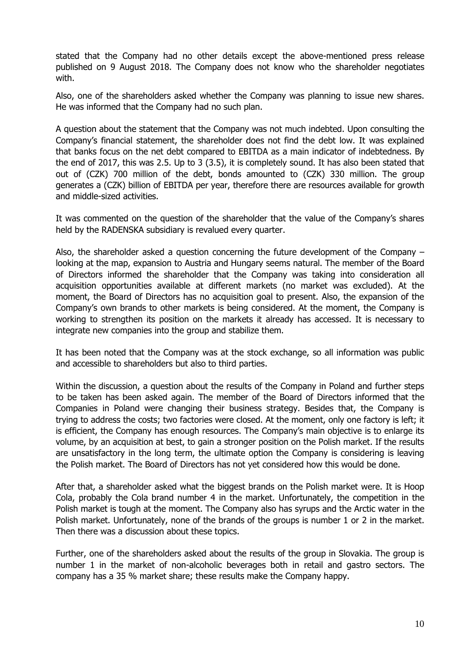stated that the Company had no other details except the above-mentioned press release published on 9 August 2018. The Company does not know who the shareholder negotiates with.

Also, one of the shareholders asked whether the Company was planning to issue new shares. He was informed that the Company had no such plan.

A question about the statement that the Company was not much indebted. Upon consulting the Company's financial statement, the shareholder does not find the debt low. It was explained that banks focus on the net debt compared to EBITDA as a main indicator of indebtedness. By the end of 2017, this was 2.5. Up to 3 (3.5), it is completely sound. It has also been stated that out of (CZK) 700 million of the debt, bonds amounted to (CZK) 330 million. The group generates a (CZK) billion of EBITDA per year, therefore there are resources available for growth and middle-sized activities.

It was commented on the question of the shareholder that the value of the Company's shares held by the RADENSKA subsidiary is revalued every quarter.

Also, the shareholder asked a question concerning the future development of the Company – looking at the map, expansion to Austria and Hungary seems natural. The member of the Board of Directors informed the shareholder that the Company was taking into consideration all acquisition opportunities available at different markets (no market was excluded). At the moment, the Board of Directors has no acquisition goal to present. Also, the expansion of the Company's own brands to other markets is being considered. At the moment, the Company is working to strengthen its position on the markets it already has accessed. It is necessary to integrate new companies into the group and stabilize them.

It has been noted that the Company was at the stock exchange, so all information was public and accessible to shareholders but also to third parties.

Within the discussion, a question about the results of the Company in Poland and further steps to be taken has been asked again. The member of the Board of Directors informed that the Companies in Poland were changing their business strategy. Besides that, the Company is trying to address the costs; two factories were closed. At the moment, only one factory is left; it is efficient, the Company has enough resources. The Company's main objective is to enlarge its volume, by an acquisition at best, to gain a stronger position on the Polish market. If the results are unsatisfactory in the long term, the ultimate option the Company is considering is leaving the Polish market. The Board of Directors has not yet considered how this would be done.

After that, a shareholder asked what the biggest brands on the Polish market were. It is Hoop Cola, probably the Cola brand number 4 in the market. Unfortunately, the competition in the Polish market is tough at the moment. The Company also has syrups and the Arctic water in the Polish market. Unfortunately, none of the brands of the groups is number 1 or 2 in the market. Then there was a discussion about these topics.

Further, one of the shareholders asked about the results of the group in Slovakia. The group is number 1 in the market of non-alcoholic beverages both in retail and gastro sectors. The company has a 35 % market share; these results make the Company happy.